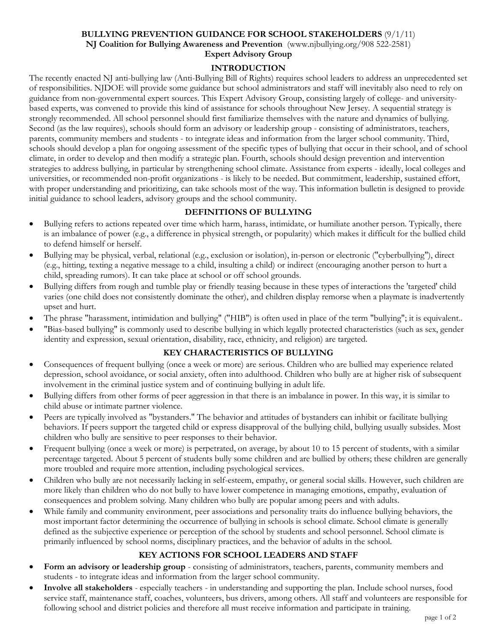#### **BULLYING PREVENTION GUIDANCE FOR SCHOOL STAKEHOLDERS** (9/1/11) **NJ Coalition for Bullying Awareness and Prevention** (www.njbullying.org/908 522-2581) **Expert Advisory Group**

# **INTRODUCTION**

The recently enacted NJ anti-bullying law (Anti-Bullying Bill of Rights) requires school leaders to address an unprecedented set of responsibilities. NJDOE will provide some guidance but school administrators and staff will inevitably also need to rely on guidance from non-governmental expert sources. This Expert Advisory Group, consisting largely of college- and universitybased experts, was convened to provide this kind of assistance for schools throughout New Jersey. A sequential strategy is strongly recommended. All school personnel should first familiarize themselves with the nature and dynamics of bullying. Second (as the law requires), schools should form an advisory or leadership group - consisting of administrators, teachers, parents, community members and students - to integrate ideas and information from the larger school community. Third, schools should develop a plan for ongoing assessment of the specific types of bullying that occur in their school, and of school climate, in order to develop and then modify a strategic plan. Fourth, schools should design prevention and intervention strategies to address bullying, in particular by strengthening school climate. Assistance from experts - ideally, local colleges and universities, or recommended non-profit organizations - is likely to be needed. But commitment, leadership, sustained effort, with proper understanding and prioritizing, can take schools most of the way. This information bulletin is designed to provide initial guidance to school leaders, advisory groups and the school community.

#### **DEFINITIONS OF BULLYING**

- Bullying refers to actions repeated over time which harm, harass, intimidate, or humiliate another person. Typically, there is an imbalance of power (e.g., a difference in physical strength, or popularity) which makes it difficult for the bullied child to defend himself or herself.
- Bullying may be physical, verbal, relational (e.g., exclusion or isolation), in-person or electronic ("cyberbullying"), direct (e.g., hitting, texting a negative message to a child, insulting a child) or indirect (encouraging another person to hurt a child, spreading rumors). It can take place at school or off school grounds.
- Bullying differs from rough and tumble play or friendly teasing because in these types of interactions the 'targeted' child varies (one child does not consistently dominate the other), and children display remorse when a playmate is inadvertently upset and hurt.
- The phrase "harassment, intimidation and bullying" ("HIB") is often used in place of the term "bullying"; it is equivalent..
- "Bias-based bullying" is commonly used to describe bullying in which legally protected characteristics (such as sex, gender identity and expression, sexual orientation, disability, race, ethnicity, and religion) are targeted.

# **KEY CHARACTERISTICS OF BULLYING**

- Consequences of frequent bullying (once a week or more) are serious. Children who are bullied may experience related depression, school avoidance, or social anxiety, often into adulthood. Children who bully are at higher risk of subsequent involvement in the criminal justice system and of continuing bullying in adult life.
- Bullying differs from other forms of peer aggression in that there is an imbalance in power. In this way, it is similar to child abuse or intimate partner violence.
- Peers are typically involved as "bystanders." The behavior and attitudes of bystanders can inhibit or facilitate bullying behaviors. If peers support the targeted child or express disapproval of the bullying child, bullying usually subsides. Most children who bully are sensitive to peer responses to their behavior.
- Frequent bullying (once a week or more) is perpetrated, on average, by about 10 to 15 percent of students, with a similar percentage targeted. About 5 percent of students bully some children and are bullied by others; these children are generally more troubled and require more attention, including psychological services.
- Children who bully are not necessarily lacking in self-esteem, empathy, or general social skills. However, such children are more likely than children who do not bully to have lower competence in managing emotions, empathy, evaluation of consequences and problem solving. Many children who bully are popular among peers and with adults.
- While family and community environment, peer associations and personality traits do influence bullying behaviors, the most important factor determining the occurrence of bullying in schools is school climate. School climate is generally defined as the subjective experience or perception of the school by students and school personnel. School climate is primarily influenced by school norms, disciplinary practices, and the behavior of adults in the school.

# **KEY ACTIONS FOR SCHOOL LEADERS AND STAFF**

- **Form an advisory or leadership group** consisting of administrators, teachers, parents, community members and students - to integrate ideas and information from the larger school community.
- **Involve all stakeholders** especially teachers in understanding and supporting the plan. Include school nurses, food service staff, maintenance staff, coaches, volunteers, bus drivers, among others. All staff and volunteers are responsible for following school and district policies and therefore all must receive information and participate in training.